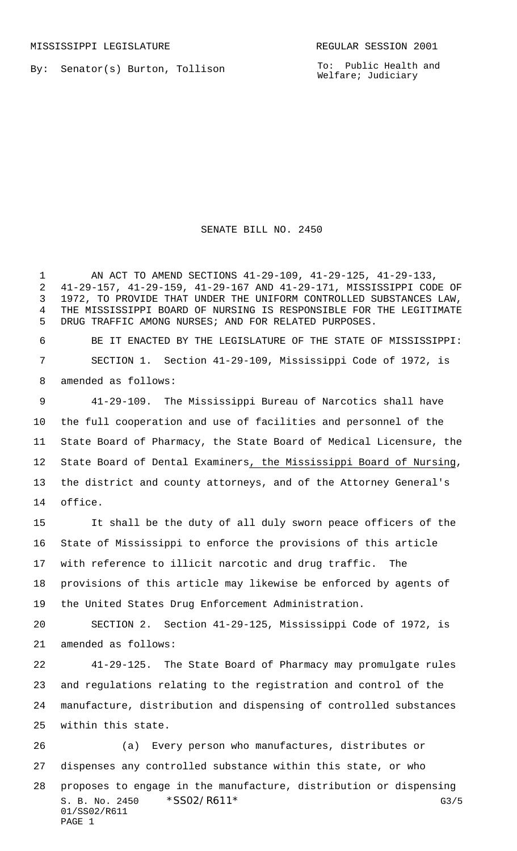By: Senator(s) Burton, Tollison

To: Public Health and Welfare; Judiciary

## SENATE BILL NO. 2450

 AN ACT TO AMEND SECTIONS 41-29-109, 41-29-125, 41-29-133, 41-29-157, 41-29-159, 41-29-167 AND 41-29-171, MISSISSIPPI CODE OF 1972, TO PROVIDE THAT UNDER THE UNIFORM CONTROLLED SUBSTANCES LAW, THE MISSISSIPPI BOARD OF NURSING IS RESPONSIBLE FOR THE LEGITIMATE DRUG TRAFFIC AMONG NURSES; AND FOR RELATED PURPOSES.

 BE IT ENACTED BY THE LEGISLATURE OF THE STATE OF MISSISSIPPI: SECTION 1. Section 41-29-109, Mississippi Code of 1972, is amended as follows:

 41-29-109. The Mississippi Bureau of Narcotics shall have the full cooperation and use of facilities and personnel of the State Board of Pharmacy, the State Board of Medical Licensure, the 12 State Board of Dental Examiners, the Mississippi Board of Nursing, the district and county attorneys, and of the Attorney General's office.

 It shall be the duty of all duly sworn peace officers of the State of Mississippi to enforce the provisions of this article with reference to illicit narcotic and drug traffic. The provisions of this article may likewise be enforced by agents of the United States Drug Enforcement Administration.

 SECTION 2. Section 41-29-125, Mississippi Code of 1972, is amended as follows:

 41-29-125. The State Board of Pharmacy may promulgate rules and regulations relating to the registration and control of the manufacture, distribution and dispensing of controlled substances within this state.

S. B. No. 2450 \* SSO2/R611\* G3/5 01/SS02/R611 PAGE 1 (a) Every person who manufactures, distributes or dispenses any controlled substance within this state, or who proposes to engage in the manufacture, distribution or dispensing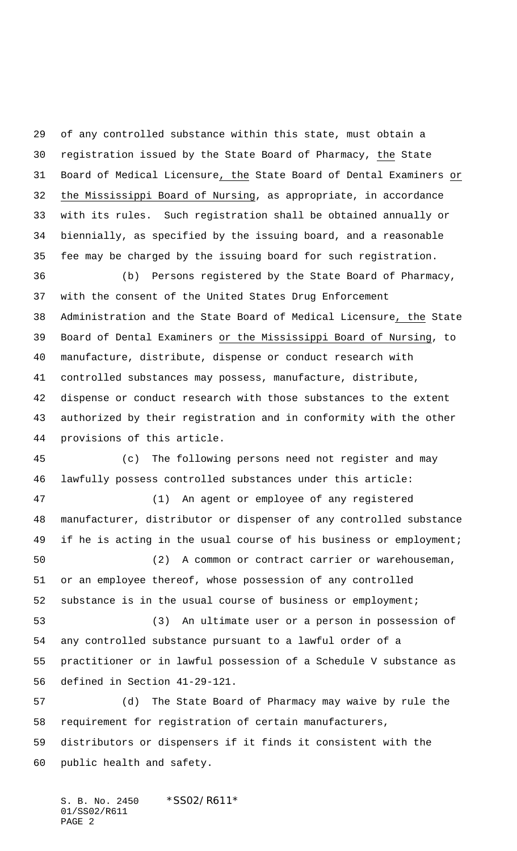of any controlled substance within this state, must obtain a registration issued by the State Board of Pharmacy, the State Board of Medical Licensure, the State Board of Dental Examiners or the Mississippi Board of Nursing, as appropriate, in accordance with its rules. Such registration shall be obtained annually or biennially, as specified by the issuing board, and a reasonable fee may be charged by the issuing board for such registration.

 (b) Persons registered by the State Board of Pharmacy, with the consent of the United States Drug Enforcement Administration and the State Board of Medical Licensure, the State Board of Dental Examiners or the Mississippi Board of Nursing, to manufacture, distribute, dispense or conduct research with controlled substances may possess, manufacture, distribute, dispense or conduct research with those substances to the extent authorized by their registration and in conformity with the other provisions of this article.

 (c) The following persons need not register and may lawfully possess controlled substances under this article:

 (1) An agent or employee of any registered manufacturer, distributor or dispenser of any controlled substance 49 if he is acting in the usual course of his business or employment;

 (2) A common or contract carrier or warehouseman, or an employee thereof, whose possession of any controlled substance is in the usual course of business or employment;

 (3) An ultimate user or a person in possession of any controlled substance pursuant to a lawful order of a practitioner or in lawful possession of a Schedule V substance as defined in Section 41-29-121.

 (d) The State Board of Pharmacy may waive by rule the requirement for registration of certain manufacturers, distributors or dispensers if it finds it consistent with the public health and safety.

S. B. No. 2450 \*SS02/R611\* 01/SS02/R611 PAGE 2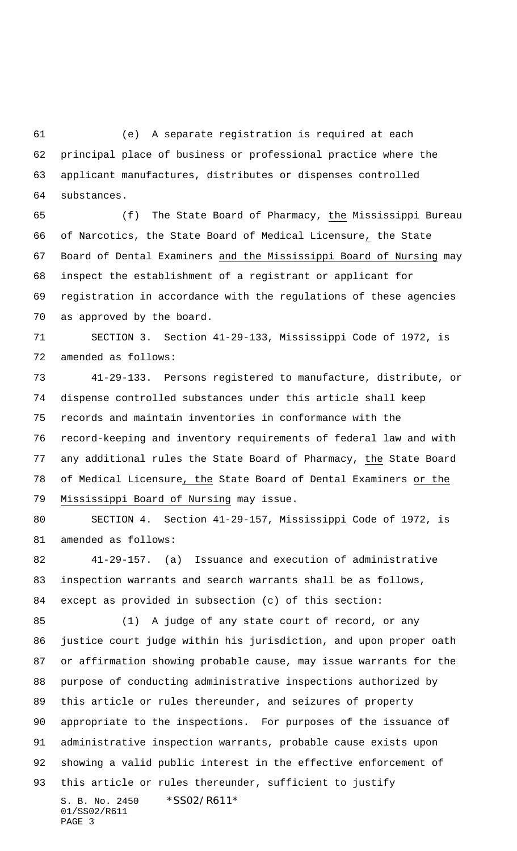(e) A separate registration is required at each principal place of business or professional practice where the applicant manufactures, distributes or dispenses controlled substances.

 (f) The State Board of Pharmacy, the Mississippi Bureau of Narcotics, the State Board of Medical Licensure, the State Board of Dental Examiners and the Mississippi Board of Nursing may inspect the establishment of a registrant or applicant for registration in accordance with the regulations of these agencies as approved by the board.

 SECTION 3. Section 41-29-133, Mississippi Code of 1972, is amended as follows:

 41-29-133. Persons registered to manufacture, distribute, or dispense controlled substances under this article shall keep records and maintain inventories in conformance with the record-keeping and inventory requirements of federal law and with any additional rules the State Board of Pharmacy, the State Board of Medical Licensure, the State Board of Dental Examiners or the Mississippi Board of Nursing may issue.

 SECTION 4. Section 41-29-157, Mississippi Code of 1972, is amended as follows:

 41-29-157. (a) Issuance and execution of administrative inspection warrants and search warrants shall be as follows, except as provided in subsection (c) of this section:

S. B. No. 2450 \*SS02/R611\* 01/SS02/R611 PAGE 3 (1) A judge of any state court of record, or any justice court judge within his jurisdiction, and upon proper oath or affirmation showing probable cause, may issue warrants for the purpose of conducting administrative inspections authorized by this article or rules thereunder, and seizures of property appropriate to the inspections. For purposes of the issuance of administrative inspection warrants, probable cause exists upon showing a valid public interest in the effective enforcement of this article or rules thereunder, sufficient to justify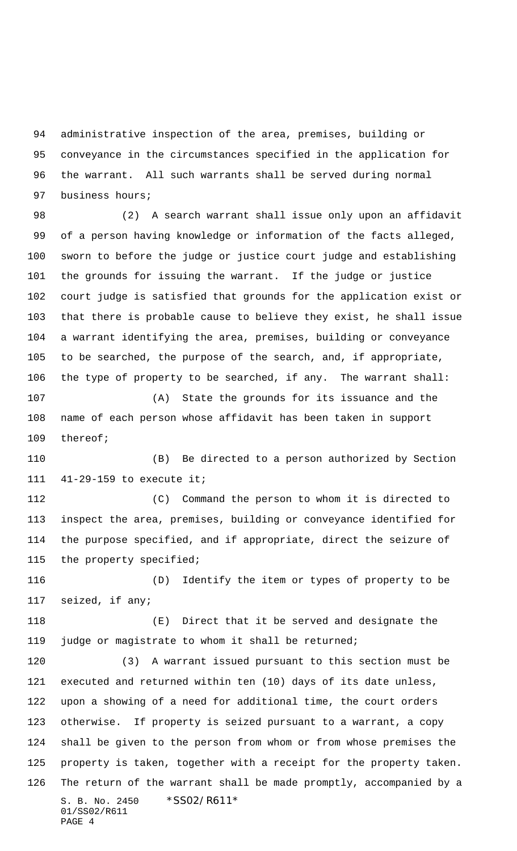administrative inspection of the area, premises, building or conveyance in the circumstances specified in the application for the warrant. All such warrants shall be served during normal business hours;

 (2) A search warrant shall issue only upon an affidavit of a person having knowledge or information of the facts alleged, sworn to before the judge or justice court judge and establishing the grounds for issuing the warrant. If the judge or justice court judge is satisfied that grounds for the application exist or that there is probable cause to believe they exist, he shall issue a warrant identifying the area, premises, building or conveyance to be searched, the purpose of the search, and, if appropriate, the type of property to be searched, if any. The warrant shall:

 (A) State the grounds for its issuance and the name of each person whose affidavit has been taken in support thereof;

 (B) Be directed to a person authorized by Section 41-29-159 to execute it;

 (C) Command the person to whom it is directed to inspect the area, premises, building or conveyance identified for the purpose specified, and if appropriate, direct the seizure of the property specified;

 (D) Identify the item or types of property to be seized, if any;

 (E) Direct that it be served and designate the judge or magistrate to whom it shall be returned;

S. B. No. 2450 \*SS02/R611\* 01/SS02/R611 PAGE 4 (3) A warrant issued pursuant to this section must be executed and returned within ten (10) days of its date unless, upon a showing of a need for additional time, the court orders otherwise. If property is seized pursuant to a warrant, a copy shall be given to the person from whom or from whose premises the property is taken, together with a receipt for the property taken. The return of the warrant shall be made promptly, accompanied by a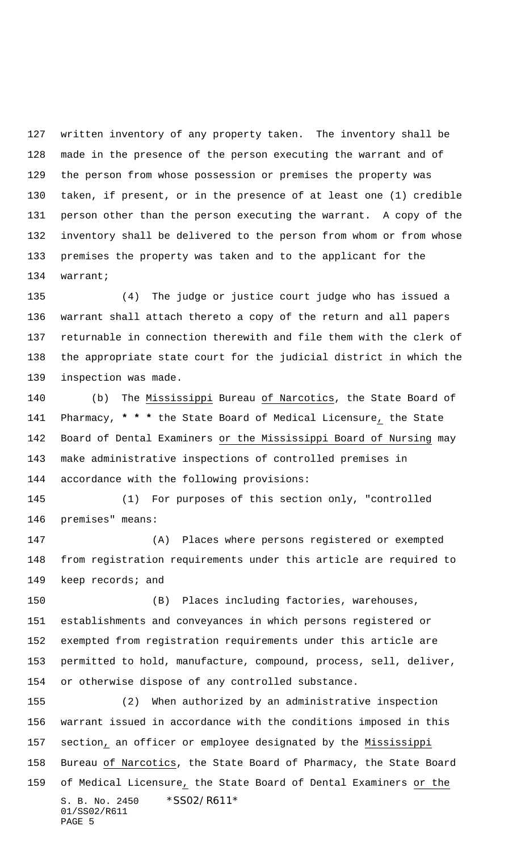written inventory of any property taken. The inventory shall be made in the presence of the person executing the warrant and of the person from whose possession or premises the property was taken, if present, or in the presence of at least one (1) credible person other than the person executing the warrant. A copy of the inventory shall be delivered to the person from whom or from whose premises the property was taken and to the applicant for the warrant;

 (4) The judge or justice court judge who has issued a warrant shall attach thereto a copy of the return and all papers returnable in connection therewith and file them with the clerk of the appropriate state court for the judicial district in which the inspection was made.

 (b) The Mississippi Bureau of Narcotics, the State Board of Pharmacy, **\* \* \*** the State Board of Medical Licensure, the State Board of Dental Examiners or the Mississippi Board of Nursing may make administrative inspections of controlled premises in accordance with the following provisions:

 (1) For purposes of this section only, "controlled premises" means:

 (A) Places where persons registered or exempted from registration requirements under this article are required to 149 keep records; and

 (B) Places including factories, warehouses, establishments and conveyances in which persons registered or exempted from registration requirements under this article are permitted to hold, manufacture, compound, process, sell, deliver, or otherwise dispose of any controlled substance.

S. B. No. 2450 \*SS02/R611\* 01/SS02/R611 PAGE 5 (2) When authorized by an administrative inspection warrant issued in accordance with the conditions imposed in this section, an officer or employee designated by the Mississippi Bureau of Narcotics, the State Board of Pharmacy, the State Board of Medical Licensure, the State Board of Dental Examiners or the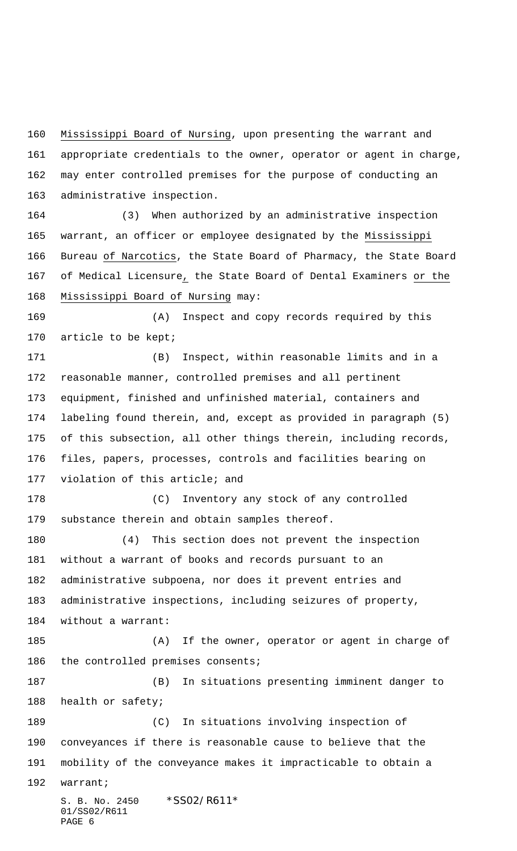Mississippi Board of Nursing, upon presenting the warrant and appropriate credentials to the owner, operator or agent in charge, may enter controlled premises for the purpose of conducting an administrative inspection.

 (3) When authorized by an administrative inspection warrant, an officer or employee designated by the Mississippi Bureau of Narcotics, the State Board of Pharmacy, the State Board of Medical Licensure, the State Board of Dental Examiners or the Mississippi Board of Nursing may:

 (A) Inspect and copy records required by this 170 article to be kept;

 (B) Inspect, within reasonable limits and in a reasonable manner, controlled premises and all pertinent equipment, finished and unfinished material, containers and labeling found therein, and, except as provided in paragraph (5) of this subsection, all other things therein, including records, files, papers, processes, controls and facilities bearing on violation of this article; and

 (C) Inventory any stock of any controlled substance therein and obtain samples thereof.

 (4) This section does not prevent the inspection without a warrant of books and records pursuant to an administrative subpoena, nor does it prevent entries and administrative inspections, including seizures of property, without a warrant:

 (A) If the owner, operator or agent in charge of 186 the controlled premises consents;

 (B) In situations presenting imminent danger to health or safety;

 (C) In situations involving inspection of conveyances if there is reasonable cause to believe that the mobility of the conveyance makes it impracticable to obtain a warrant;

S. B. No. 2450 \*SS02/R611\* 01/SS02/R611 PAGE 6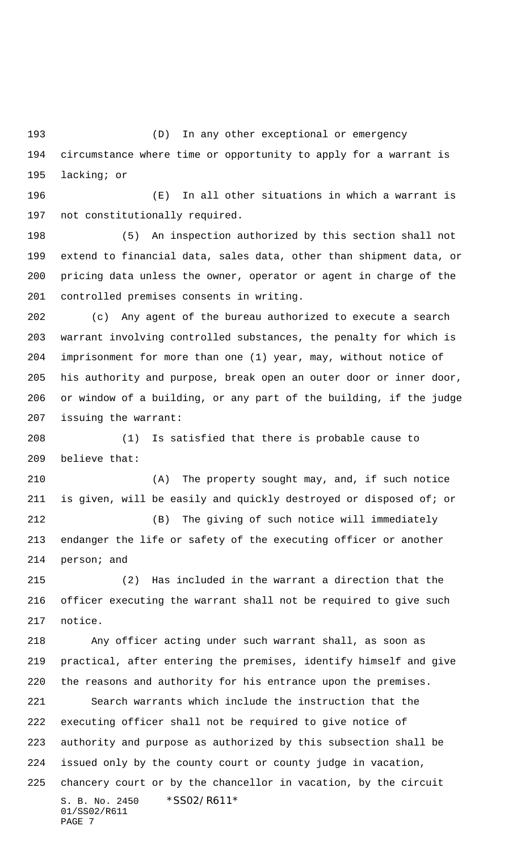(D) In any other exceptional or emergency circumstance where time or opportunity to apply for a warrant is lacking; or

 (E) In all other situations in which a warrant is not constitutionally required.

 (5) An inspection authorized by this section shall not extend to financial data, sales data, other than shipment data, or pricing data unless the owner, operator or agent in charge of the controlled premises consents in writing.

 (c) Any agent of the bureau authorized to execute a search warrant involving controlled substances, the penalty for which is imprisonment for more than one (1) year, may, without notice of his authority and purpose, break open an outer door or inner door, or window of a building, or any part of the building, if the judge issuing the warrant:

 (1) Is satisfied that there is probable cause to believe that:

 (A) The property sought may, and, if such notice is given, will be easily and quickly destroyed or disposed of; or (B) The giving of such notice will immediately endanger the life or safety of the executing officer or another person; and

 (2) Has included in the warrant a direction that the officer executing the warrant shall not be required to give such notice.

 Any officer acting under such warrant shall, as soon as practical, after entering the premises, identify himself and give the reasons and authority for his entrance upon the premises.

S. B. No. 2450 \*SS02/R611\* 01/SS02/R611 PAGE 7 Search warrants which include the instruction that the executing officer shall not be required to give notice of authority and purpose as authorized by this subsection shall be issued only by the county court or county judge in vacation, chancery court or by the chancellor in vacation, by the circuit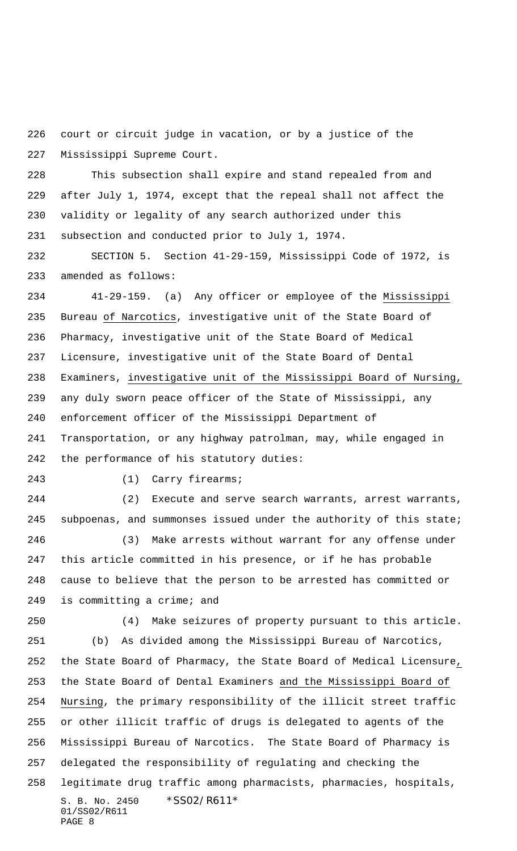court or circuit judge in vacation, or by a justice of the Mississippi Supreme Court.

 This subsection shall expire and stand repealed from and after July 1, 1974, except that the repeal shall not affect the validity or legality of any search authorized under this subsection and conducted prior to July 1, 1974.

 SECTION 5. Section 41-29-159, Mississippi Code of 1972, is amended as follows:

 41-29-159. (a) Any officer or employee of the Mississippi Bureau of Narcotics, investigative unit of the State Board of Pharmacy, investigative unit of the State Board of Medical Licensure, investigative unit of the State Board of Dental Examiners, investigative unit of the Mississippi Board of Nursing, any duly sworn peace officer of the State of Mississippi, any enforcement officer of the Mississippi Department of Transportation, or any highway patrolman, may, while engaged in the performance of his statutory duties:

(1) Carry firearms;

 (2) Execute and serve search warrants, arrest warrants, 245 subpoenas, and summonses issued under the authority of this state;

 (3) Make arrests without warrant for any offense under this article committed in his presence, or if he has probable cause to believe that the person to be arrested has committed or 249 is committing a crime; and

(4) Make seizures of property pursuant to this article.

S. B. No. 2450 \*SS02/R611\* 01/SS02/R611 PAGE 8 (b) As divided among the Mississippi Bureau of Narcotics, the State Board of Pharmacy, the State Board of Medical Licensure, the State Board of Dental Examiners and the Mississippi Board of Nursing, the primary responsibility of the illicit street traffic or other illicit traffic of drugs is delegated to agents of the Mississippi Bureau of Narcotics. The State Board of Pharmacy is delegated the responsibility of regulating and checking the legitimate drug traffic among pharmacists, pharmacies, hospitals,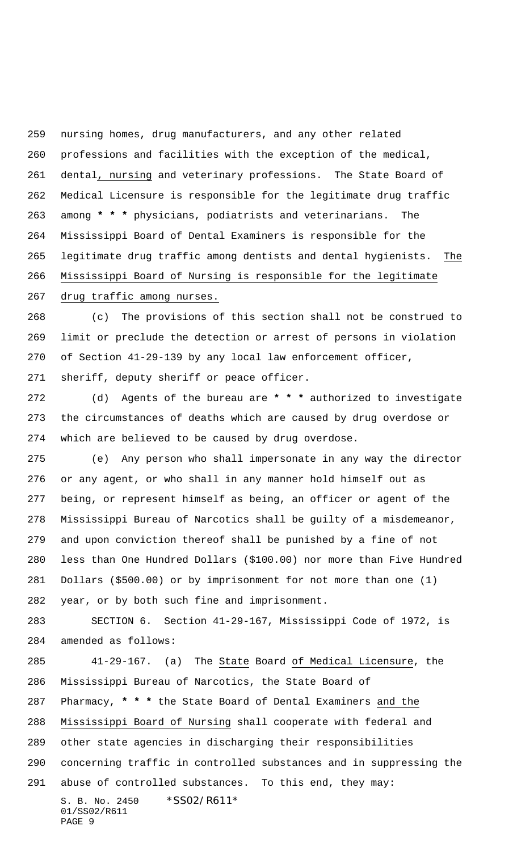nursing homes, drug manufacturers, and any other related professions and facilities with the exception of the medical, dental, nursing and veterinary professions. The State Board of Medical Licensure is responsible for the legitimate drug traffic among **\* \* \*** physicians, podiatrists and veterinarians. The Mississippi Board of Dental Examiners is responsible for the legitimate drug traffic among dentists and dental hygienists. The Mississippi Board of Nursing is responsible for the legitimate

drug traffic among nurses.

 (c) The provisions of this section shall not be construed to limit or preclude the detection or arrest of persons in violation of Section 41-29-139 by any local law enforcement officer, sheriff, deputy sheriff or peace officer.

 (d) Agents of the bureau are **\* \* \*** authorized to investigate the circumstances of deaths which are caused by drug overdose or which are believed to be caused by drug overdose.

 (e) Any person who shall impersonate in any way the director or any agent, or who shall in any manner hold himself out as being, or represent himself as being, an officer or agent of the Mississippi Bureau of Narcotics shall be guilty of a misdemeanor, and upon conviction thereof shall be punished by a fine of not less than One Hundred Dollars (\$100.00) nor more than Five Hundred Dollars (\$500.00) or by imprisonment for not more than one (1) year, or by both such fine and imprisonment.

 SECTION 6. Section 41-29-167, Mississippi Code of 1972, is amended as follows:

S. B. No. 2450 \*SS02/R611\* 01/SS02/R611 41-29-167. (a) The State Board of Medical Licensure, the Mississippi Bureau of Narcotics, the State Board of Pharmacy, **\* \* \*** the State Board of Dental Examiners and the Mississippi Board of Nursing shall cooperate with federal and other state agencies in discharging their responsibilities concerning traffic in controlled substances and in suppressing the abuse of controlled substances. To this end, they may:

```
PAGE 9
```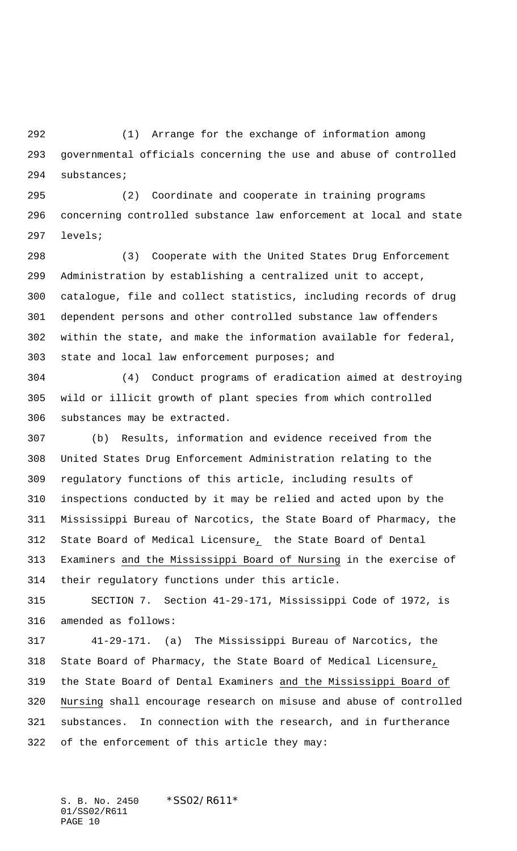(1) Arrange for the exchange of information among governmental officials concerning the use and abuse of controlled substances;

 (2) Coordinate and cooperate in training programs concerning controlled substance law enforcement at local and state levels;

 (3) Cooperate with the United States Drug Enforcement Administration by establishing a centralized unit to accept, catalogue, file and collect statistics, including records of drug dependent persons and other controlled substance law offenders within the state, and make the information available for federal, state and local law enforcement purposes; and

 (4) Conduct programs of eradication aimed at destroying wild or illicit growth of plant species from which controlled substances may be extracted.

 (b) Results, information and evidence received from the United States Drug Enforcement Administration relating to the regulatory functions of this article, including results of inspections conducted by it may be relied and acted upon by the Mississippi Bureau of Narcotics, the State Board of Pharmacy, the State Board of Medical Licensure, the State Board of Dental Examiners and the Mississippi Board of Nursing in the exercise of their regulatory functions under this article.

 SECTION 7. Section 41-29-171, Mississippi Code of 1972, is amended as follows:

 41-29-171. (a) The Mississippi Bureau of Narcotics, the State Board of Pharmacy, the State Board of Medical Licensure, the State Board of Dental Examiners and the Mississippi Board of Nursing shall encourage research on misuse and abuse of controlled substances. In connection with the research, and in furtherance of the enforcement of this article they may:

S. B. No. 2450 \*SS02/R611\* 01/SS02/R611 PAGE 10